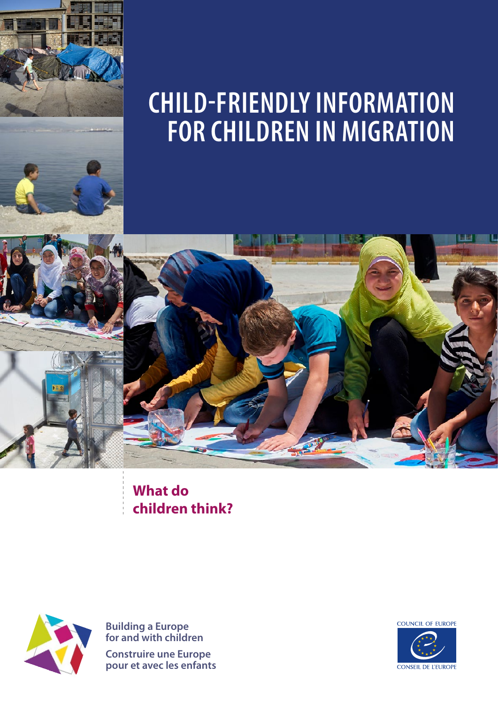



**children think? What do** 



**Building a Europe for and with children Construire une Europe pour et avec les enfants**

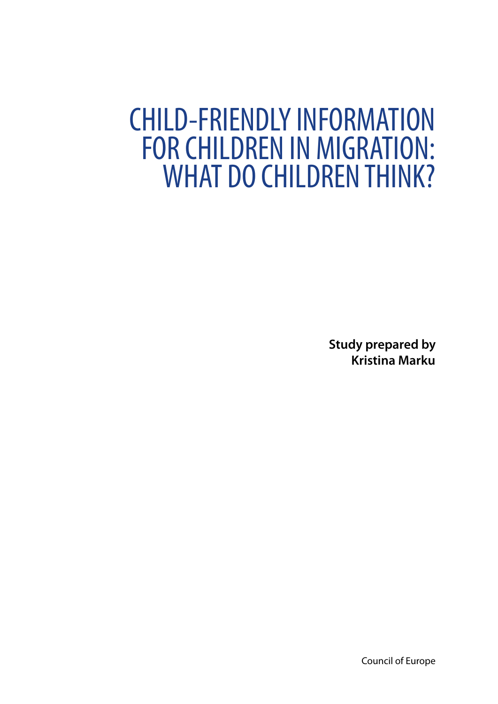# CHILD-FRIENDLY INFORMATION FOR CHILDREN IN MIGRATION: WHAT DO CHILDREN THINK?

**Study prepared by Kristina Marku**

Council of Europe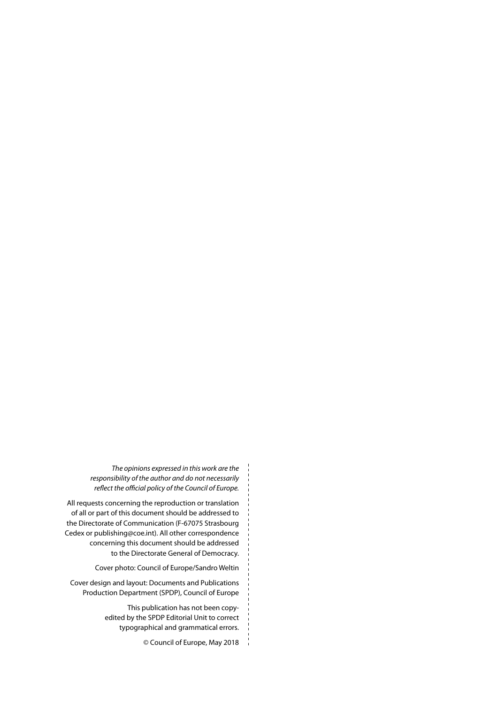*The opinions expressed in this work are the responsibility of the author and do not necessarily reflect the official policy of the Council of Europe.* 

All requests concerning the reproduction or translation of all or part of this document should be addressed to the Directorate of Communication (F‑67075 Strasbourg Cedex or publishing@coe.int). All other correspondence concerning this document should be addressed to the Directorate General of Democracy.

Cover photo: Council of Europe/Sandro Weltin

Cover design and layout: Documents and Publications Production Department (SPDP), Council of Europe

> This publication has not been copyedited by the SPDP Editorial Unit to correct typographical and grammatical errors.

> > © Council of Europe, May 2018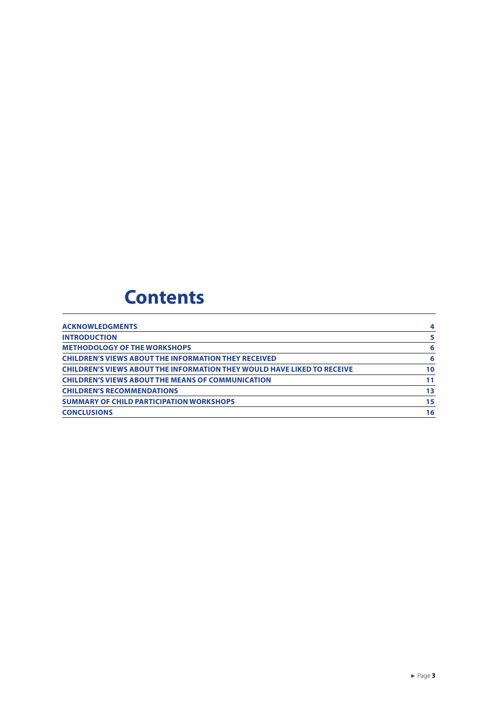# **Contents**

| <b>ACKNOWLEDGMENTS</b>                                                         | 4  |
|--------------------------------------------------------------------------------|----|
| <b>INTRODUCTION</b>                                                            | 5  |
| <b>METHODOLOGY OF THE WORKSHOPS</b>                                            | 6  |
| <b>CHILDREN'S VIEWS ABOUT THE INFORMATION THEY RECEIVED</b>                    | -6 |
| <b>CHILDREN'S VIEWS ABOUT THE INFORMATION THEY WOULD HAVE LIKED TO RECEIVE</b> | 10 |
| <b>CHILDREN'S VIEWS ABOUT THE MEANS OF COMMUNICATION</b>                       | 11 |
| <b>CHILDREN'S RECOMMENDATIONS</b>                                              | 13 |
| <b>SUMMARY OF CHILD PARTICIPATION WORKSHOPS</b>                                | 15 |
| <b>CONCLUSIONS</b>                                                             | 16 |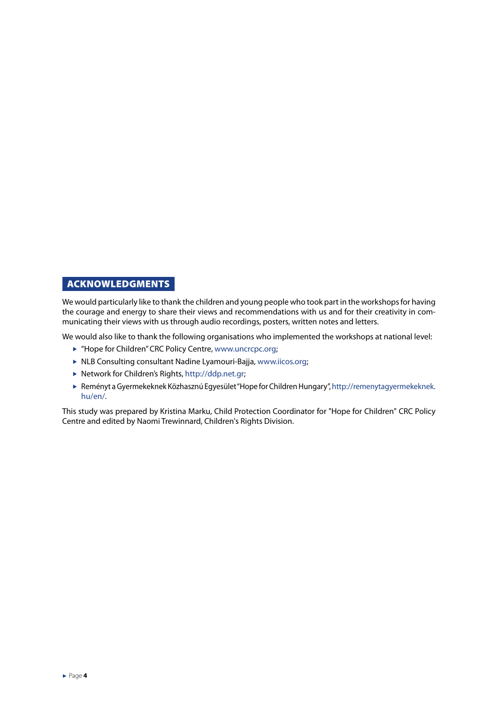#### <span id="page-4-0"></span>ACKNOWLEDGMENTS

We would particularly like to thank the children and young people who took part in the workshops for having the courage and energy to share their views and recommendations with us and for their creativity in communicating their views with us through audio recordings, posters, written notes and letters.

We would also like to thank the following organisations who implemented the workshops at national level:

- ▶ "Hope for Children" CRC Policy Centre, [www.uncrcpc.org](http://www.uncrcpc.org);
- $\triangleright$  NLB Consulting consultant Nadine Lyamouri-Bajja, [www.iicos.org;](http://www.iicos.org)
- ▶ Network for Children's Rights, [http://ddp.net.gr;](http://ddp.net.gr)
- f Reményt a Gyermekeknek Közhasznú Egyesület "Hope for Children Hungary", [http://remenytagyermekeknek.](http://remenytagyermekeknek.hu/en/) [hu/en/.](http://remenytagyermekeknek.hu/en/)

This study was prepared by Kristina Marku, Child Protection Coordinator for "Hope for Children" CRC Policy Centre and edited by Naomi Trewinnard, Children's Rights Division.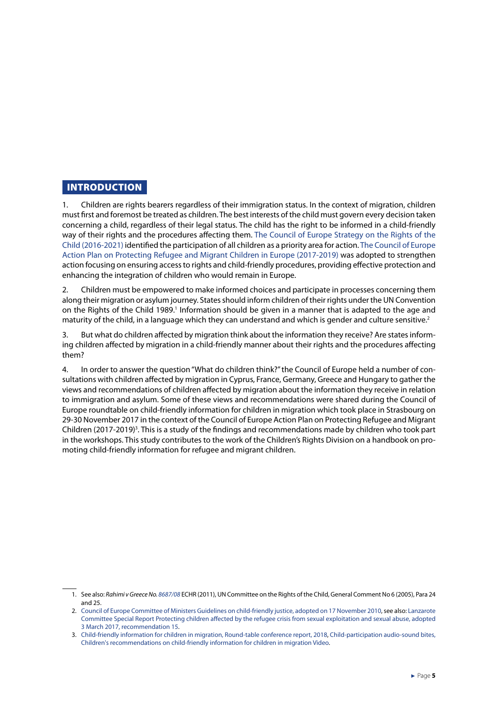#### <span id="page-5-0"></span>INTRODUCTION

1. Children are rights bearers regardless of their immigration status. In the context of migration, children must first and foremost be treated as children. The best interests of the child must govern every decision taken concerning a child, regardless of their legal status. The child has the right to be informed in a child-friendly way of their rights and the procedures affecting them. [The Council of Europe Strategy on the Rights of the](https://rm.coe.int/168066cff8)  [Child \(2016-2021\)](https://rm.coe.int/168066cff8) identified the participation of all children as a priority area for action. [The Council of Europe](https://www.coe.int/en/web/special-representative-secretary-general-migration-refugees/-/47-european-states-agreed-on-an-action-plan-on-how-to-protect-children-in-migration)  [Action Plan on Protecting Refugee and Migrant Children in Europe \(2017-2019\)](https://www.coe.int/en/web/special-representative-secretary-general-migration-refugees/-/47-european-states-agreed-on-an-action-plan-on-how-to-protect-children-in-migration) was adopted to strengthen action focusing on ensuring access to rights and child-friendly procedures, providing effective protection and enhancing the integration of children who would remain in Europe.

2. Children must be empowered to make informed choices and participate in processes concerning them along their migration or asylum journey. States should inform children of their rights under the UN Convention on the Rights of the Child 1989.<sup>1</sup> Information should be given in a manner that is adapted to the age and maturity of the child, in a language which they can understand and which is gender and culture sensitive.<sup>2</sup>

3. But what do children affected by migration think about the information they receive? Are states informing children affected by migration in a child-friendly manner about their rights and the procedures affecting them?

4. In order to answer the question "What do children think?" the Council of Europe held a number of consultations with children affected by migration in Cyprus, France, Germany, Greece and Hungary to gather the views and recommendations of children affected by migration about the information they receive in relation to immigration and asylum. Some of these views and recommendations were shared during the Council of Europe roundtable on child-friendly information for children in migration which took place in Strasbourg on 29-30 November 2017 in the context of the Council of Europe Action Plan on Protecting Refugee and Migrant Children (2017-2019)<sup>3</sup>. This is a study of the findings and recommendations made by children who took part in the workshops. This study contributes to the work of the Children's Rights Division on a handbook on promoting child-friendly information for refugee and migrant children.

<sup>1.</sup> See also: *Rahimi v Greece No. [8687/08](http://hudoc.echr.coe.int/eng?i=001-104366)* ECHR (2011), UN Committee on the Rights of the Child, General Comment No 6 (2005), Para 24 and 25.

<sup>2.</sup> [Council of Europe Committee of Ministers Guidelines on child-friendly justice, adopted on 17 November 2010,](https://rm.coe.int/16804b2cf3) see also: [Lanzarote](https://rm.coe.int/special-report-protecting-children-affected-by-the-refugee-crisis-from/16807912a5)  [Committee Special Report Protecting children affected by the refugee crisis from sexual exploitation and sexual abuse, adopted](https://rm.coe.int/special-report-protecting-children-affected-by-the-refugee-crisis-from/16807912a5)  [3 March 2017, recommendation 15](https://rm.coe.int/special-report-protecting-children-affected-by-the-refugee-crisis-from/16807912a5).

<sup>3.</sup> [Child-friendly information for children in migration, Round-table conference report, 2018](http://rm.coe.int/child-friendly-information-for-children-in-migration-roundtable-confer/168078b512), [Child-participation audio-sound bites,](https://vimeo.com/257739281)  [Children's recommendations on child-friendly information for children in migration Video](https://vimeo.com/257739281).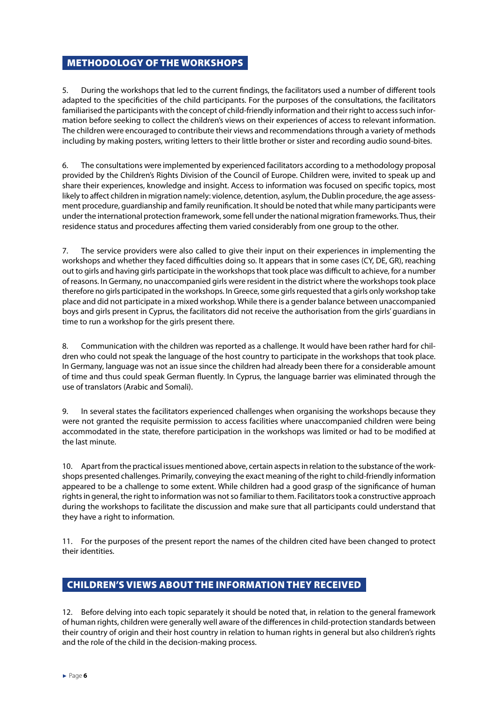#### <span id="page-6-0"></span>METHODOLOGY OF THE WORKSHOPS

5. During the workshops that led to the current findings, the facilitators used a number of different tools adapted to the specificities of the child participants. For the purposes of the consultations, the facilitators familiarised the participants with the concept of child-friendly information and their right to access such information before seeking to collect the children's views on their experiences of access to relevant information. The children were encouraged to contribute their views and recommendations through a variety of methods including by making posters, writing letters to their little brother or sister and recording audio sound-bites.

6. The consultations were implemented by experienced facilitators according to a methodology proposal provided by the Children's Rights Division of the Council of Europe. Children were, invited to speak up and share their experiences, knowledge and insight. Access to information was focused on specific topics, most likely to affect children in migration namely: violence, detention, asylum, the Dublin procedure, the age assessment procedure, guardianship and family reunification. It should be noted that while many participants were under the international protection framework, some fell under the national migration frameworks. Thus, their residence status and procedures affecting them varied considerably from one group to the other.

7. The service providers were also called to give their input on their experiences in implementing the workshops and whether they faced difficulties doing so. It appears that in some cases (CY, DE, GR), reaching out to girls and having girls participate in the workshops that took place was difficult to achieve, for a number of reasons. In Germany, no unaccompanied girls were resident in the district where the workshops took place therefore no girls participated in the workshops. In Greece, some girls requested that a girls only workshop take place and did not participate in a mixed workshop. While there is a gender balance between unaccompanied boys and girls present in Cyprus, the facilitators did not receive the authorisation from the girls' guardians in time to run a workshop for the girls present there.

8. Communication with the children was reported as a challenge. It would have been rather hard for children who could not speak the language of the host country to participate in the workshops that took place. In Germany, language was not an issue since the children had already been there for a considerable amount of time and thus could speak German fluently. In Cyprus, the language barrier was eliminated through the use of translators (Arabic and Somali).

9. In several states the facilitators experienced challenges when organising the workshops because they were not granted the requisite permission to access facilities where unaccompanied children were being accommodated in the state, therefore participation in the workshops was limited or had to be modified at the last minute.

10. Apart from the practical issues mentioned above, certain aspects in relation to the substance of the work‑ shops presented challenges. Primarily, conveying the exact meaning of the right to child-friendly information appeared to be a challenge to some extent. While children had a good grasp of the significance of human rights in general, the right to information was not so familiar to them. Facilitators took a constructive approach during the workshops to facilitate the discussion and make sure that all participants could understand that they have a right to information.

11. For the purposes of the present report the names of the children cited have been changed to protect their identities.

#### CHILDREN'S VIEWS ABOUT THE INFORMATION THEY RECEIVED

12. Before delving into each topic separately it should be noted that, in relation to the general framework of human rights, children were generally well aware of the differences in child-protection standards between their country of origin and their host country in relation to human rights in general but also children's rights and the role of the child in the decision-making process.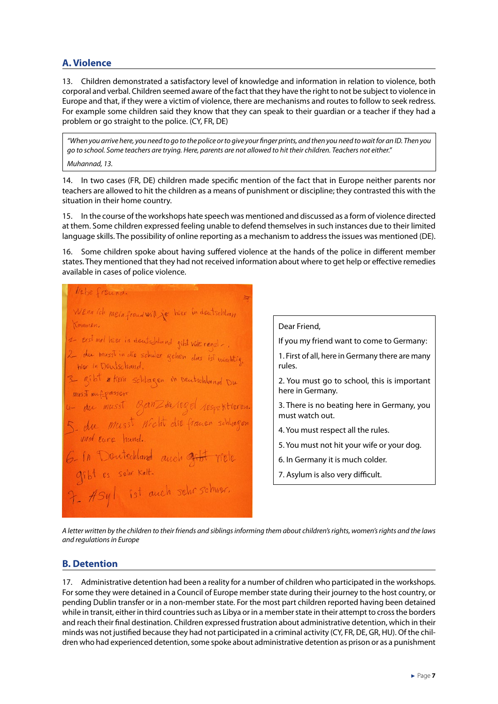#### **A. Violence**

13. Children demonstrated a satisfactory level of knowledge and information in relation to violence, both corporal and verbal. Children seemed aware of the fact that they have the right to not be subject to violence in Europe and that, if they were a victim of violence, there are mechanisms and routes to follow to seek redress. For example some children said they know that they can speak to their guardian or a teacher if they had a problem or go straight to the police. (CY, FR, DE)

*"When you arrive here, you need to go to the police or to give your finger prints, and then you need to wait for an ID. Then you go to school. Some teachers are trying. Here, parents are not allowed to hit their children. Teachers not either."*

*Muhannad, 13.* 

14. In two cases (FR, DE) children made specific mention of the fact that in Europe neither parents nor teachers are allowed to hit the children as a means of punishment or discipline; they contrasted this with the situation in their home country.

15. In the course of the workshops hate speech was mentioned and discussed as a form of violence directed at them. Some children expressed feeling unable to defend themselves in such instances due to their limited language skills. The possibility of online reporting as a mechanism to address the issues was mentioned (DE).

16. Some children spoke about having suffered violence at the hands of the police in different member states. They mentioned that they had not received information about where to get help or effective remedies available in cases of police violence.

liebe freund. Wenn ich mein freudwill je heer in deutschlein Kommen, 1 east met hier in deutschland gibt vide renal-, 2 der musst in die schuler gehen das ist wischtig. her in Deutschand. 3 gibt # Kein schlagen in Deutschlund Du musst muf passer du musst ganzherege 5 du musst nicht die franen schlager und eure hund. 

Dear Friend, If you my friend want to come to Germany: 1. First of all, here in Germany there are many rules. 2. You must go to school, this is important here in Germany. 3. There is no beating here in Germany, you must watch out. 4. You must respect all the rules. 5. You must not hit your wife or your dog. 6. In Germany it is much colder. 7. Asylum is also very difficult.

*A letter written by the children to their friends and siblings informing them about children's rights, women's rights and the laws and regulations in Europe*

#### **B. Detention**

17. Administrative detention had been a reality for a number of children who participated in the workshops. For some they were detained in a Council of Europe member state during their journey to the host country, or pending Dublin transfer or in a non-member state. For the most part children reported having been detained while in transit, either in third countries such as Libya or in a member state in their attempt to cross the borders and reach their final destination. Children expressed frustration about administrative detention, which in their minds was not justified because they had not participated in a criminal activity (CY, FR, DE, GR, HU). Of the children who had experienced detention, some spoke about administrative detention as prison or as a punishment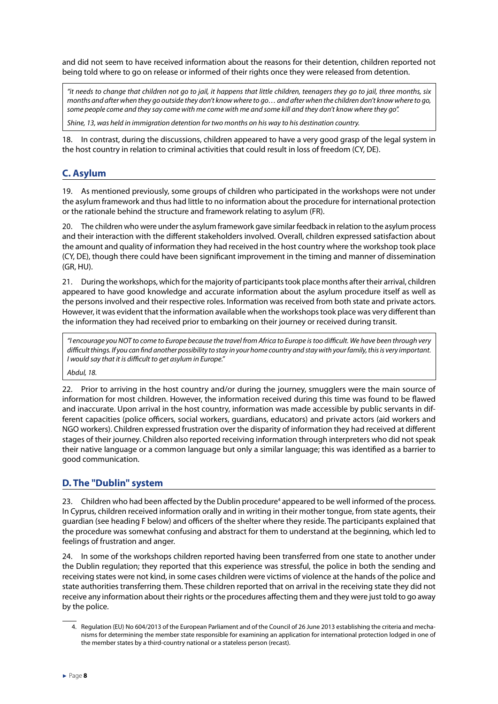and did not seem to have received information about the reasons for their detention, children reported not being told where to go on release or informed of their rights once they were released from detention.

*"it needs to change that children not go to jail, it happens that little children, teenagers they go to jail, three months, six months and after when they go outside they don't know where to go… and after when the children don't know where to go, some people come and they say come with me come with me and some kill and they don't know where they go".*

*Shine, 13, was held in immigration detention for two months on his way to his destination country.*

18. In contrast, during the discussions, children appeared to have a very good grasp of the legal system in the host country in relation to criminal activities that could result in loss of freedom (CY, DE).

#### **C. Asylum**

19. As mentioned previously, some groups of children who participated in the workshops were not under the asylum framework and thus had little to no information about the procedure for international protection or the rationale behind the structure and framework relating to asylum (FR).

20. The children who were under the asylum framework gave similar feedback in relation to the asylum process and their interaction with the different stakeholders involved. Overall, children expressed satisfaction about the amount and quality of information they had received in the host country where the workshop took place (CY, DE), though there could have been significant improvement in the timing and manner of dissemination (GR, HU).

21. During the workshops, which for the majority of participants took place months after their arrival, children appeared to have good knowledge and accurate information about the asylum procedure itself as well as the persons involved and their respective roles. Information was received from both state and private actors. However, it was evident that the information available when the workshops took place was very different than the information they had received prior to embarking on their journey or received during transit.

*"I encourage you NOT to come to Europe because the travel from Africa to Europe is too difficult. We have been through very difficult things. If you can find another possibility to stay in your home country and stay with your family, this is very important. I would say that it is difficult to get asylum in Europe."*

*Abdul, 18.*

22. Prior to arriving in the host country and/or during the journey, smugglers were the main source of information for most children. However, the information received during this time was found to be flawed and inaccurate. Upon arrival in the host country, information was made accessible by public servants in different capacities (police officers, social workers, guardians, educators) and private actors (aid workers and NGO workers). Children expressed frustration over the disparity of information they had received at different stages of their journey. Children also reported receiving information through interpreters who did not speak their native language or a common language but only a similar language; this was identified as a barrier to good communication.

#### **D. The "Dublin" system**

23. Children who had been affected by the Dublin procedure<sup>4</sup> appeared to be well informed of the process. In Cyprus, children received information orally and in writing in their mother tongue, from state agents, their guardian (see heading F below) and officers of the shelter where they reside. The participants explained that the procedure was somewhat confusing and abstract for them to understand at the beginning, which led to feelings of frustration and anger.

24. In some of the workshops children reported having been transferred from one state to another under the Dublin regulation; they reported that this experience was stressful, the police in both the sending and receiving states were not kind, in some cases children were victims of violence at the hands of the police and state authorities transferring them. These children reported that on arrival in the receiving state they did not receive any information about their rights or the procedures affecting them and they were just told to go away by the police.

<sup>4.</sup> Regulation (EU) No 604/2013 of the European Parliament and of the Council of 26 June 2013 establishing the criteria and mechanisms for determining the member state responsible for examining an application for international protection lodged in one of the member states by a third-country national or a stateless person (recast).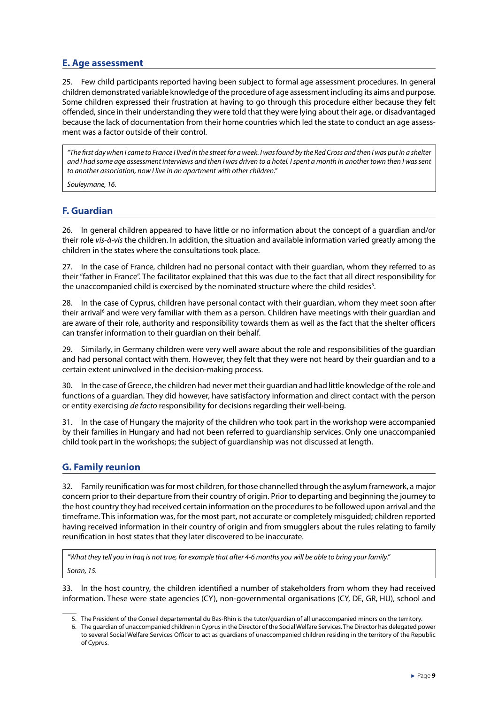#### **E. Age assessment**

25. Few child participants reported having been subject to formal age assessment procedures. In general children demonstrated variable knowledge of the procedure of age assessment including its aims and purpose. Some children expressed their frustration at having to go through this procedure either because they felt offended, since in their understanding they were told that they were lying about their age, or disadvantaged because the lack of documentation from their home countries which led the state to conduct an age assess‑ ment was a factor outside of their control.

*"The first day when I came to France I lived in the street for a week. I was found by the Red Cross and then I was put in a shelter and I had some age assessment interviews and then I was driven to a hotel. I spent a month in another town then I was sent to another association, now I live in an apartment with other children."*

*Souleymane, 16.*

#### **F. Guardian**

26. In general children appeared to have little or no information about the concept of a guardian and/or their role *vis-à-vis* the children. In addition, the situation and available information varied greatly among the children in the states where the consultations took place.

27. In the case of France, children had no personal contact with their guardian, whom they referred to as their "father in France". The facilitator explained that this was due to the fact that all direct responsibility for the unaccompanied child is exercised by the nominated structure where the child resides $^5$ .

28. In the case of Cyprus, children have personal contact with their guardian, whom they meet soon after their arrival<sup>6</sup> and were very familiar with them as a person. Children have meetings with their guardian and are aware of their role, authority and responsibility towards them as well as the fact that the shelter officers can transfer information to their guardian on their behalf.

29. Similarly, in Germany children were very well aware about the role and responsibilities of the guardian and had personal contact with them. However, they felt that they were not heard by their guardian and to a certain extent uninvolved in the decision-making process.

30. In the case of Greece, the children had never met their guardian and had little knowledge of the role and functions of a guardian. They did however, have satisfactory information and direct contact with the person or entity exercising *de facto* responsibility for decisions regarding their well-being.

31. In the case of Hungary the majority of the children who took part in the workshop were accompanied by their families in Hungary and had not been referred to guardianship services. Only one unaccompanied child took part in the workshops; the subject of guardianship was not discussed at length.

#### **G. Family reunion**

32. Family reunification was for most children, for those channelled through the asylum framework, a major concern prior to their departure from their country of origin. Prior to departing and beginning the journey to the host country they had received certain information on the procedures to be followed upon arrival and the timeframe. This information was, for the most part, not accurate or completely misguided; children reported having received information in their country of origin and from smugglers about the rules relating to family reunification in host states that they later discovered to be inaccurate.

*"What they tell you in Iraq is not true, for example that after 4-6 months you will be able to bring your family." Soran, 15.*

33. In the host country, the children identified a number of stakeholders from whom they had received information. These were state agencies (CY), non-governmental organisations (CY, DE, GR, HU), school and

<sup>5.</sup> The President of the Conseil departemental du Bas-Rhin is the tutor/guardian of all unaccompanied minors on the territory.

<sup>6.</sup> The guardian of unaccompanied children in Cyprus in the Director of the Social Welfare Services. The Director has delegated power to several Social Welfare Services Officer to act as guardians of unaccompanied children residing in the territory of the Republic of Cyprus.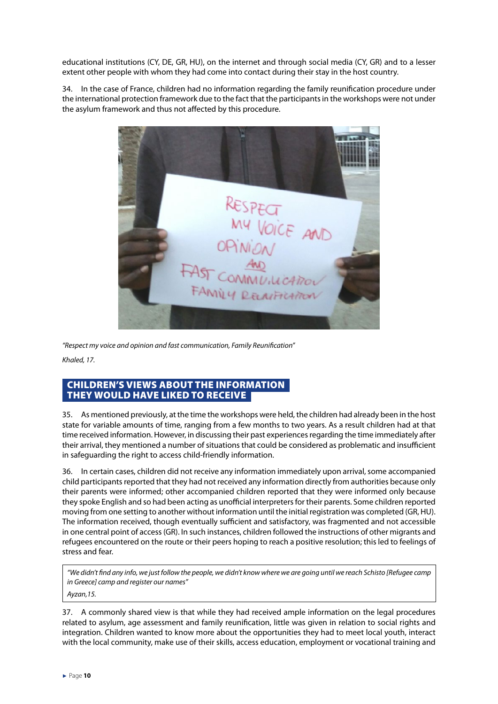<span id="page-10-0"></span>educational institutions (CY, DE, GR, HU), on the internet and through social media (CY, GR) and to a lesser extent other people with whom they had come into contact during their stay in the host country.

34. In the case of France, children had no information regarding the family reunification procedure under the international protection framework due to the fact that the participants in the workshops were not under the asylum framework and thus not affected by this procedure.



*"Respect my voice and opinion and fast communication, Family Reunification"*

*Khaled, 17.*

#### CHILDREN'S VIEWS ABOUT THE INFORMATION THEY WOULD HAVE LIKED TO RECEIVE

35. As mentioned previously, at the time the workshops were held, the children had already been in the host state for variable amounts of time, ranging from a few months to two years. As a result children had at that time received information. However, in discussing their past experiences regarding the time immediately after their arrival, they mentioned a number of situations that could be considered as problematic and insufficient in safeguarding the right to access child-friendly information.

36. In certain cases, children did not receive any information immediately upon arrival, some accompanied child participants reported that they had not received any information directly from authorities because only their parents were informed; other accompanied children reported that they were informed only because they spoke English and so had been acting as unofficial interpreters for their parents. Some children reported moving from one setting to another without information until the initial registration was completed (GR, HU). The information received, though eventually sufficient and satisfactory, was fragmented and not accessible in one central point of access (GR). In such instances, children followed the instructions of other migrants and refugees encountered on the route or their peers hoping to reach a positive resolution; this led to feelings of stress and fear.

*"We didn't find any info, we just follow the people, we didn't know where we are going until we reach Schisto [Refugee camp in Greece] camp and register our names"*

*Ayzan,15.*

37. A commonly shared view is that while they had received ample information on the legal procedures related to asylum, age assessment and family reunification, little was given in relation to social rights and integration. Children wanted to know more about the opportunities they had to meet local youth, interact with the local community, make use of their skills, access education, employment or vocational training and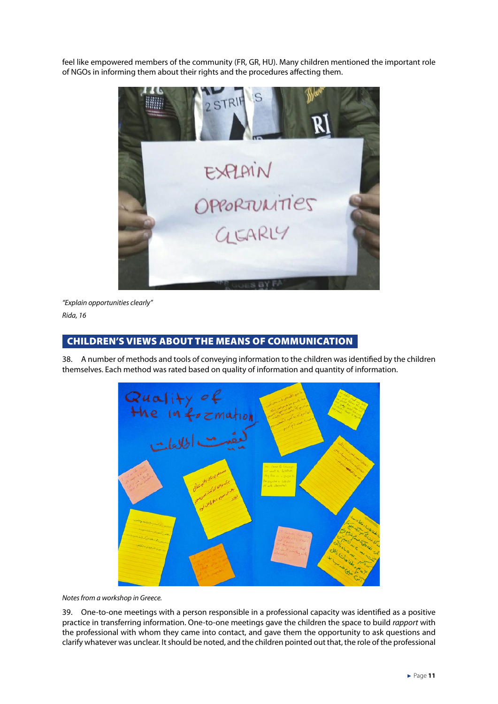<span id="page-11-0"></span>feel like empowered members of the community (FR, GR, HU). Many children mentioned the important role of NGOs in informing them about their rights and the procedures affecting them.



*"Explain opportunities clearly" Rida, 16* 

#### CHILDREN'S VIEWS ABOUT THE MEANS OF COMMUNICATION

38. A number of methods and tools of conveying information to the children was identified by the children themselves. Each method was rated based on quality of information and quantity of information.



*Notes from a workshop in Greece.*

39. One-to-one meetings with a person responsible in a professional capacity was identified as a positive practice in transferring information. One-to-one meetings gave the children the space to build *rapport* with the professional with whom they came into contact, and gave them the opportunity to ask questions and clarify whatever was unclear. It should be noted, and the children pointed out that, the role of the professional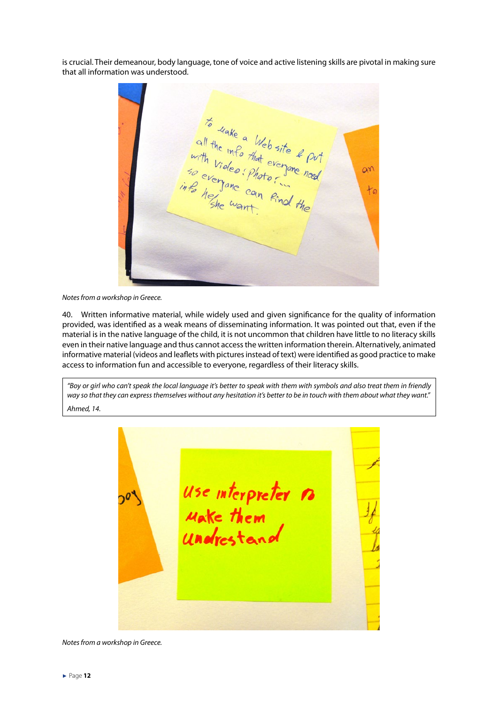is crucial. Their demeanour, body language, tone of voice and active listening skills are pivotal in making sure that all information was understood.

to wake a Web site & put<br>with video that everyone need<br>in to everyone coun find the<br>into herme coun find the  $\alpha$  $+0$ 

*Notes from a workshop in Greece.*

40. Written informative material, while widely used and given significance for the quality of information provided, was identified as a weak means of disseminating information. It was pointed out that, even if the material is in the native language of the child, it is not uncommon that children have little to no literacy skills even in their native language and thus cannot access the written information therein. Alternatively, animated informative material (videos and leaflets with pictures instead of text) were identified as good practice to make access to information fun and accessible to everyone, regardless of their literacy skills.

*"Boy or girl who can't speak the local language it's better to speak with them with symbols and also treat them in friendly way so that they can express themselves without any hesitation it's better to be in touch with them about what they want." Ahmed, 14.*

use interpreter no<br>Make them<br>Undrestand 70

*Notes from a workshop in Greece.*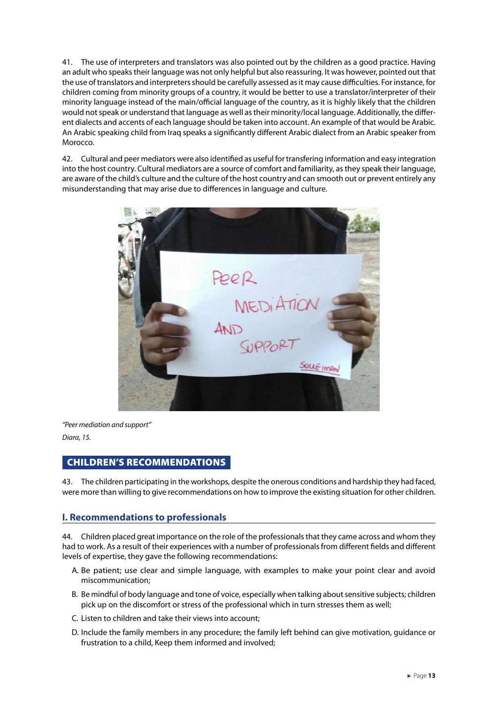<span id="page-13-0"></span>41. The use of interpreters and translators was also pointed out by the children as a good practice. Having an adult who speaks their language was not only helpful but also reassuring. It was however, pointed out that the use of translators and interpreters should be carefully assessed as it may cause difficulties. For instance, for children coming from minority groups of a country, it would be better to use a translator/interpreter of their minority language instead of the main/official language of the country, as it is highly likely that the children would not speak or understand that language as well as their minority/local language. Additionally, the different dialects and accents of each language should be taken into account. An example of that would be Arabic. An Arabic speaking child from Iraq speaks a significantly different Arabic dialect from an Arabic speaker from Morocco.

42. Cultural and peer mediators were also identified as useful for transfering information and easy integration into the host country. Cultural mediators are a source of comfort and familiarity, as they speak their language, are aware of the child's culture and the culture of the host country and can smooth out or prevent entirely any misunderstanding that may arise due to differences in language and culture.



*"Peer mediation and support"* 

*Diara, 15.* 

#### CHILDREN'S RECOMMENDATIONS

43. The children participating in the workshops, despite the onerous conditions and hardship they had faced, were more than willing to give recommendations on how to improve the existing situation for other children.

#### **I. Recommendations to professionals**

44. Children placed great importance on the role of the professionals that they came across and whom they had to work. As a result of their experiences with a number of professionals from different fields and different levels of expertise, they gave the following recommendations:

- A. Be patient; use clear and simple language, with examples to make your point clear and avoid miscommunication;
- B. Be mindful of body language and tone of voice, especially when talking about sensitive subjects; children pick up on the discomfort or stress of the professional which in turn stresses them as well;
- C. Listen to children and take their views into account;
- D. Include the family members in any procedure; the family left behind can give motivation, guidance or frustration to a child, Keep them informed and involved;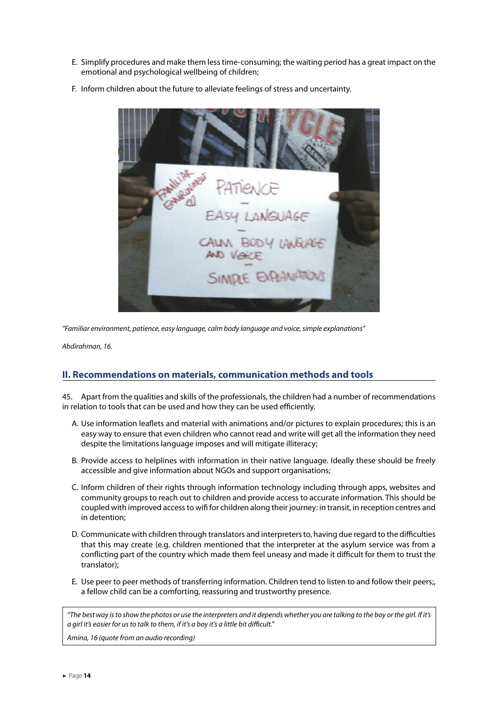- E. Simplify procedures and make them less time-consuming; the waiting period has a great impact on the emotional and psychological wellbeing of children;
- F. Inform children about the future to alleviate feelings of stress and uncertainty.

*"Familiar environment, patience, easy language, calm body language and voice, simple explanations"*

*Abdirahman, 16.*

#### **II. Recommendations on materials, communication methods and tools**

45. Apart from the qualities and skills of the professionals, the children had a number of recommendations in relation to tools that can be used and how they can be used efficiently.

- A. Use information leaflets and material with animations and/or pictures to explain procedures; this is an easy way to ensure that even children who cannot read and write will get all the information they need despite the limitations language imposes and will mitigate illiteracy;
- B. Provide access to helplines with information in their native language. Ideally these should be freely accessible and give information about NGOs and support organisations;
- C. Inform children of their rights through information technology including through apps, websites and community groups to reach out to children and provide access to accurate information. This should be coupled with improved access to wifi for children along their journey: in transit, in reception centres and in detention;
- D. Communicate with children through translators and interpreters to, having due regard to the difficulties that this may create (e.g. children mentioned that the interpreter at the asylum service was from a conflicting part of the country which made them feel uneasy and made it difficult for them to trust the translator);
- E. Use peer to peer methods of transferring information. Children tend to listen to and follow their peers;, a fellow child can be a comforting, reassuring and trustworthy presence.

*"The best way is to show the photos or use the interpreters and it depends whether you are talking to the boy or the girl. If it's a girl it's easier for us to talk to them, if it's a boy it's a little bit difficult."*

*Amina, 16 (quote from an audio recording)*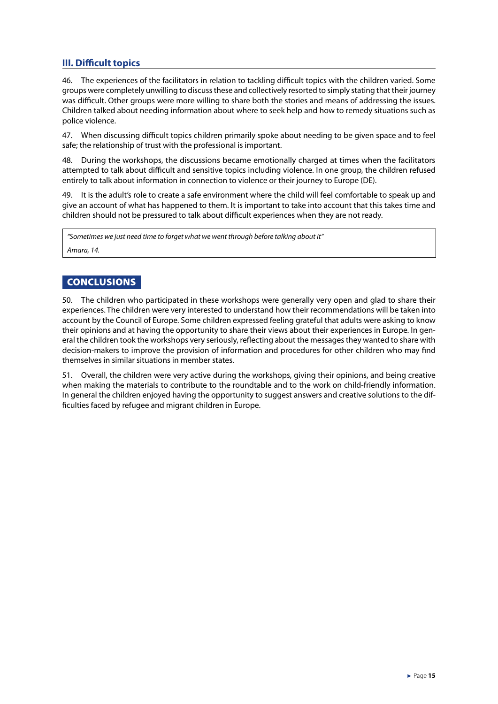#### <span id="page-15-0"></span>**III. Difficult topics**

46. The experiences of the facilitators in relation to tackling difficult topics with the children varied. Some groups were completely unwilling to discuss these and collectively resorted to simply stating that their journey was difficult. Other groups were more willing to share both the stories and means of addressing the issues. Children talked about needing information about where to seek help and how to remedy situations such as police violence.

47. When discussing difficult topics children primarily spoke about needing to be given space and to feel safe; the relationship of trust with the professional is important.

48. During the workshops, the discussions became emotionally charged at times when the facilitators attempted to talk about difficult and sensitive topics including violence. In one group, the children refused entirely to talk about information in connection to violence or their journey to Europe (DE).

49. It is the adult's role to create a safe environment where the child will feel comfortable to speak up and give an account of what has happened to them. It is important to take into account that this takes time and children should not be pressured to talk about difficult experiences when they are not ready.

*"Sometimes we just need time to forget what we went through before talking about it" Amara, 14.*

#### **CONCLUSIONS**

50. The children who participated in these workshops were generally very open and glad to share their experiences. The children were very interested to understand how their recommendations will be taken into account by the Council of Europe. Some children expressed feeling grateful that adults were asking to know their opinions and at having the opportunity to share their views about their experiences in Europe. In general the children took the workshops very seriously, reflecting about the messages they wanted to share with decision-makers to improve the provision of information and procedures for other children who may find themselves in similar situations in member states.

51. Overall, the children were very active during the workshops, giving their opinions, and being creative when making the materials to contribute to the roundtable and to the work on child-friendly information. In general the children enjoyed having the opportunity to suggest answers and creative solutions to the difficulties faced by refugee and migrant children in Europe.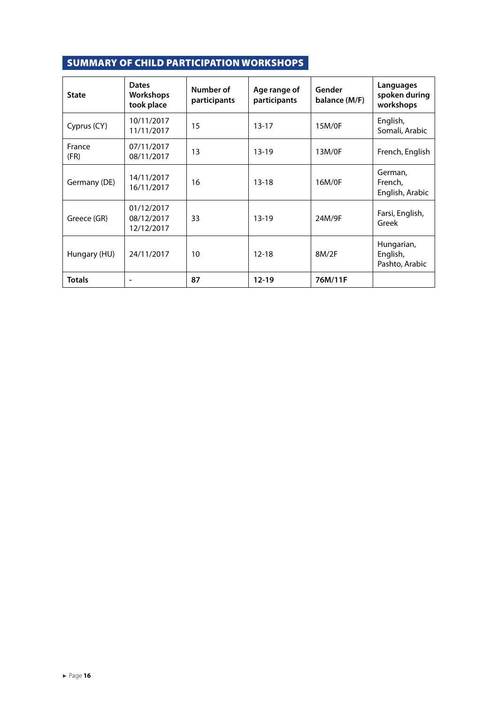### <span id="page-16-0"></span>SUMMARY OF CHILD PARTICIPATION WORKSHOPS

| <b>State</b>   | <b>Dates</b><br><b>Workshops</b><br>took place | Number of<br>participants | Age range of<br>participants | Gender<br>balance (M/F) | Languages<br>spoken during<br>workshops  |
|----------------|------------------------------------------------|---------------------------|------------------------------|-------------------------|------------------------------------------|
| Cyprus (CY)    | 10/11/2017<br>11/11/2017                       | 15                        | $13 - 17$                    | 15M/0F                  | English,<br>Somali, Arabic               |
| France<br>(FR) | 07/11/2017<br>08/11/2017                       | 13                        | $13-19$                      | 13M/0F                  | French, English                          |
| Germany (DE)   | 14/11/2017<br>16/11/2017                       | 16                        | $13 - 18$                    | 16M/0F                  | German,<br>French,<br>English, Arabic    |
| Greece (GR)    | 01/12/2017<br>08/12/2017<br>12/12/2017         | 33                        | $13 - 19$                    | 24M/9F                  | Farsi, English,<br>Greek                 |
| Hungary (HU)   | 24/11/2017                                     | 10                        | $12 - 18$                    | 8M/2F                   | Hungarian,<br>English,<br>Pashto, Arabic |
| <b>Totals</b>  |                                                | 87                        | $12 - 19$                    | 76M/11F                 |                                          |